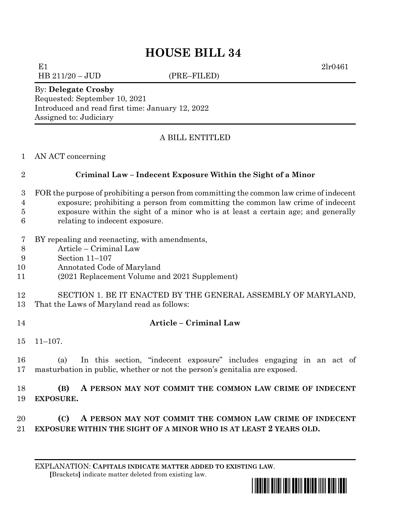# **HOUSE BILL 34**

E1 2lr0461

HB 211/20 – JUD (PRE–FILED)

By: **Delegate Crosby**

Requested: September 10, 2021 Introduced and read first time: January 12, 2022 Assigned to: Judiciary

## A BILL ENTITLED

AN ACT concerning

### **Criminal Law – Indecent Exposure Within the Sight of a Minor**

- FOR the purpose of prohibiting a person from committing the common law crime of indecent exposure; prohibiting a person from committing the common law crime of indecent exposure within the sight of a minor who is at least a certain age; and generally
- relating to indecent exposure.
- BY repealing and reenacting, with amendments,
- Article Criminal Law
- Section 11–107
- Annotated Code of Maryland
- (2021 Replacement Volume and 2021 Supplement)

 SECTION 1. BE IT ENACTED BY THE GENERAL ASSEMBLY OF MARYLAND, That the Laws of Maryland read as follows:

- **Article – Criminal Law**
- 11–107.

 (a) In this section, "indecent exposure" includes engaging in an act of masturbation in public, whether or not the person's genitalia are exposed.

 **(B) A PERSON MAY NOT COMMIT THE COMMON LAW CRIME OF INDECENT EXPOSURE.**

 **(C) A PERSON MAY NOT COMMIT THE COMMON LAW CRIME OF INDECENT EXPOSURE WITHIN THE SIGHT OF A MINOR WHO IS AT LEAST 2 YEARS OLD.**